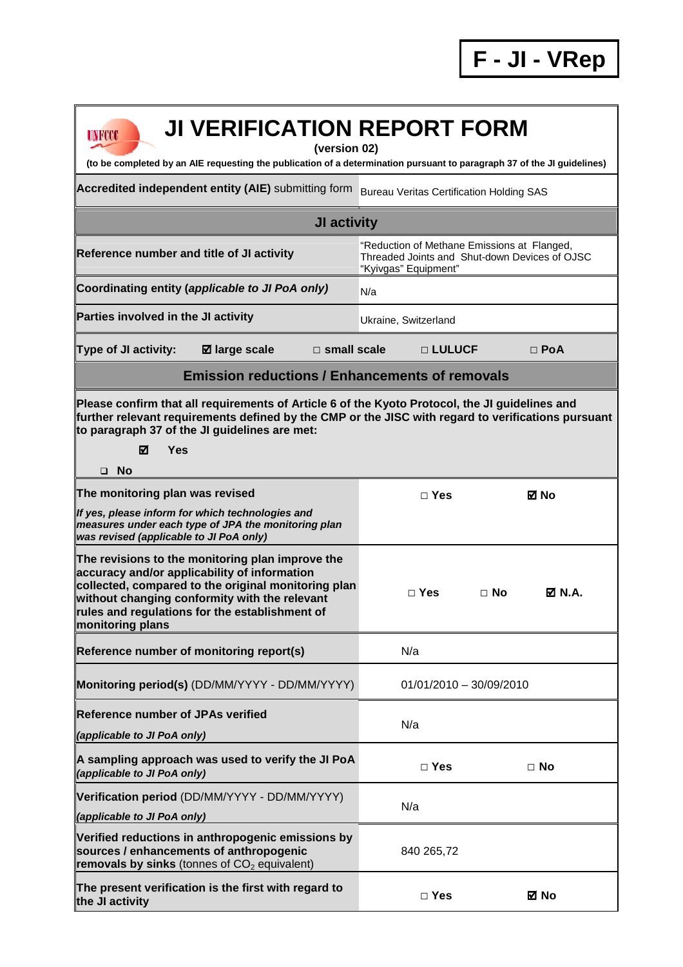| <b>JI VERIFICATION REPORT FORM</b><br><b>UNFCCC</b><br>(version 02)<br>(to be completed by an AIE requesting the publication of a determination pursuant to paragraph 37 of the JI guidelines)                                                                                    |                                                                                                                      |                            |  |
|-----------------------------------------------------------------------------------------------------------------------------------------------------------------------------------------------------------------------------------------------------------------------------------|----------------------------------------------------------------------------------------------------------------------|----------------------------|--|
| Accredited independent entity (AIE) submitting form                                                                                                                                                                                                                               | <b>Bureau Veritas Certification Holding SAS</b>                                                                      |                            |  |
| JI activity                                                                                                                                                                                                                                                                       |                                                                                                                      |                            |  |
| Reference number and title of JI activity                                                                                                                                                                                                                                         | "Reduction of Methane Emissions at Flanged,<br>Threaded Joints and Shut-down Devices of OJSC<br>"Kyivgas" Equipment" |                            |  |
| Coordinating entity (applicable to JI PoA only)                                                                                                                                                                                                                                   | N/a                                                                                                                  |                            |  |
| Parties involved in the JI activity                                                                                                                                                                                                                                               | Ukraine, Switzerland                                                                                                 |                            |  |
| <b>Type of JI activity:</b><br>$\square$ small scale<br><b>Ø</b> large scale                                                                                                                                                                                                      | $\Box$ LULUCF                                                                                                        | $\Box$ PoA                 |  |
| <b>Emission reductions / Enhancements of removals</b>                                                                                                                                                                                                                             |                                                                                                                      |                            |  |
| Please confirm that all requirements of Article 6 of the Kyoto Protocol, the JI guidelines and<br>further relevant requirements defined by the CMP or the JISC with regard to verifications pursuant<br>to paragraph 37 of the JI guidelines are met:<br>Yes<br>☑<br>$\square$ No |                                                                                                                      |                            |  |
| The monitoring plan was revised                                                                                                                                                                                                                                                   | $\square$ Yes                                                                                                        | ⊠ No                       |  |
| If yes, please inform for which technologies and<br>measures under each type of JPA the monitoring plan<br>was revised (applicable to JI PoA only)                                                                                                                                |                                                                                                                      |                            |  |
| The revisions to the monitoring plan improve the<br>accuracy and/or applicability of information<br>collected, compared to the original monitoring plan<br>without changing conformity with the relevant<br>rules and regulations for the establishment of<br>monitoring plans    | $\Box$ Yes                                                                                                           | $\Box$ No<br><b>Ø</b> N.A. |  |
| Reference number of monitoring report(s)                                                                                                                                                                                                                                          | N/a                                                                                                                  |                            |  |
| Monitoring period(s) (DD/MM/YYYY - DD/MM/YYYY)                                                                                                                                                                                                                                    | $01/01/2010 - 30/09/2010$                                                                                            |                            |  |
| <b>Reference number of JPAs verified</b>                                                                                                                                                                                                                                          | N/a                                                                                                                  |                            |  |
| (applicable to JI PoA only)                                                                                                                                                                                                                                                       |                                                                                                                      |                            |  |
| A sampling approach was used to verify the JI PoA<br>(applicable to JI PoA only)                                                                                                                                                                                                  | $\square$ Yes                                                                                                        | $\Box$ No                  |  |
| Verification period (DD/MM/YYYY - DD/MM/YYYY)                                                                                                                                                                                                                                     | N/a                                                                                                                  |                            |  |
| (applicable to JI PoA only)<br>Verified reductions in anthropogenic emissions by<br>sources / enhancements of anthropogenic<br>removals by sinks (tonnes of $CO2$ equivalent)                                                                                                     | 840 265,72                                                                                                           |                            |  |
| The present verification is the first with regard to<br>the JI activity                                                                                                                                                                                                           | $\square$ Yes                                                                                                        | ⊠ No                       |  |